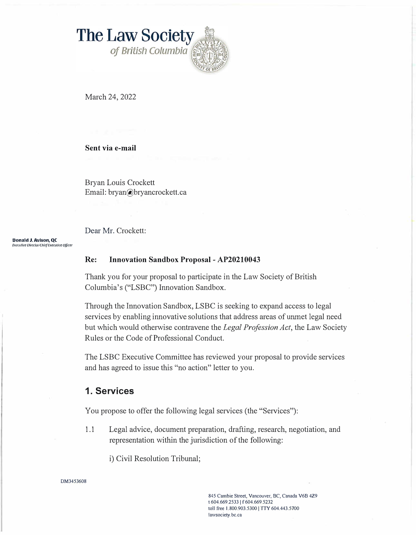**The Law Society** of British Columbia

March 24, 2022

**Sent via e-mail** 

Bryan Louis Crockett Email: bryan@bryancrockett.ca

Dear Mr. Crockett:

**Donald J. Avison, QC**  *Fxecutive Director/Chief Executive Officer* 

### **Re: Innovation Sandbox Proposal - AP20210043**

Thank you for your proposal to participate in the Law Society of British Columbia's ("LSBC") Innovation Sandbox.

Through the Innovation Sandbox, LSBC is seeking to expand access to legal services by enabling innovative solutions that address areas of unmet legal need but which would otherwise contravene the *Legal Profession Act,* the Law Society Rules or the Code of Professional Conduct.

The LSBC Executive Committee has reviewed your proposal to provide services and has agreed to issue this "no action" letter to you.

## **1. Services**

You propose to offer the following legal services (the "Services"):

1.1 Legal advice, document preparation, drafting, research, negotiation, and representation within the jurisdiction of the following:

i) Civil Resolution Tribunal;

#### DM3453608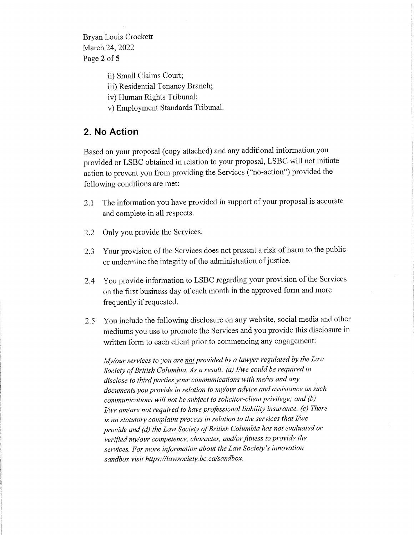Bryan Louis Crockett March 24, 2022 Page 2 of 5

> ii) Small Claims Court; iii) Residential Tenancy Branch; iv) Human Rights Tribunal;

v) Employment Standards Tribunal.

# **2. No Action**

Based on your proposa<sup>l</sup> (copy attached) and any additional information you provided or LSBC obtained in relation to your proposal, LSBC will not initiate action to preven<sup>t</sup> you from providing the Services ("no-action") provided the following conditions are met:

- 2.1 The information you have provided in support of your proposa<sup>l</sup> is accurate and complete in all respects.
- 2.2 Only you provide the Services.
- 2.3 Your provision of the Services does not present a risk of harm to the public or undermine the integrity of the administration of justice.
- 2.4 You provide information to LSBC regarding your provision of the Services on the first business day of each month in the approved form and more frequently if requested.
- 2.5 You include the following disclosure on any website, social media and other mediums you use to promote the Services and you provide this disclosure in written form to each client prior to commencing any engagement:

*My/ourservices to you are notprovided by <sup>a</sup> lawyer regulated by the Law Society ofBritish Columbia. As <sup>a</sup> result: (a) I/we could be required to disclose to thirdparties your communications with me/us and any documents youprovide in relation to my/our advice and assistance as such communications will not be subject to solicitor-clientprivilege; and (b) I/we am/are notrequired to have professional liability insurance, (c) There is no statutory complaintprocess in relation to the services thatI/we provide and (d) the Law Society ofBritish Columbia has not evaluated or verified my/our competence, character, and/orfitness to provide the services. For more information about the Law Society'<sup>s</sup> innovation sandbox visit https://lawsociety.bc.ca/sandbox.*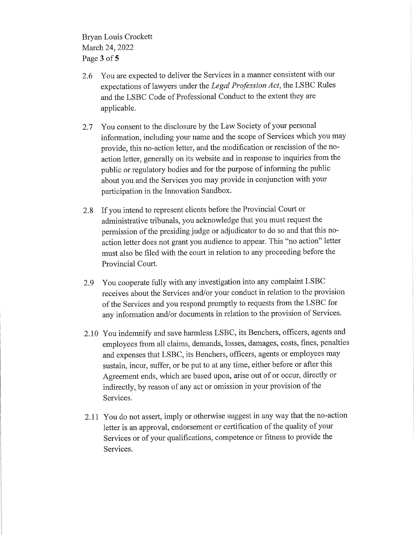Bryan Louis Crockett March 24, 2022 Page 3 of 5

- 2.6 You are expected to deliver the Services in <sup>a</sup> manner consistent with our expectations oflawyers under the *Legal Profession Act,* the LSBC Rules and the LSBC Code of Professional Conduct to the extent they are applicable.
- 2.7 You consent to the disclosure by the Law Society of your persona<sup>l</sup> information, including your name and the scope of Services which you may provide, this no-action letter, and the modification or rescission of the noaction letter, generally on its website and in response to inquiries from the public or regulatory bodies and for the purpose of informing the public about you and the Services you may provide in conjunction with your participation in the Innovation Sandbox.
- 2.8 If you intend to represen<sup>t</sup> clients before the Provincial Court or administrative tribunals, you acknowledge that you must reques<sup>t</sup> the permission of the presiding judge or adjudicator to do so and that this noaction letter does not gran<sup>t</sup> you audience to appear. This "no action" letter must also be filed with the court in relation to any proceeding before the Provincial Court.
- 2.9 You cooperate fully with any investigation into any complaint LSBC receives about the Services and/or your conduct in relation to the provision of the Services and you respond promptly to requests from the LSBC for any information and/or documents in relation to the provision of Services.
- 2.10 You indemnify and save harmless LSBC, its Benchers, officers, agents and employees from all claims, demands, losses, damages, costs, fines, penalties and expenses that LSBC, its Benchers, officers, agents or employees may sustain, incur, suffer, or be pu<sup>t</sup> to at any time, either before or after this Agreement ends, which are based upon, arise out of or occur, directly or indirectly, by reason of any act or omission in your provision of the Services.
- 2.11 You do not assert, imply or otherwise sugges<sup>t</sup> in any way that the no-action letter is an approval, endorsement or certification of the quality of your Services or of your qualifications, competence or fitness to provide the Services.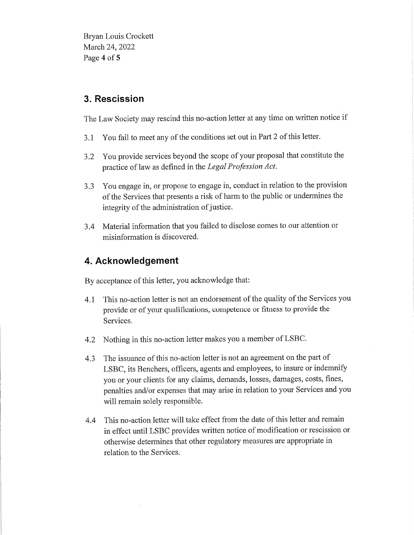Bryan Louis Crockett March 24, 2022 Page 4 of 5

## 3. Rescission

The Law Society may rescind this no-action letter at any time on written notice if

- 3.1 You fail to meet any of the conditions set out in Part 2 of this letter.
- 3.2 You provide services beyond the scope of your proposa<sup>l</sup> that constitute the practice oflaw as defined in the *Legal Profession Act.*
- 3.3 You engage in, or propose to engage in, conduct in relation to the provision of the Services that presents a risk of harm to the public or undermines the integrity of the administration of justice.
- 3.4 Material information that you failed to disclose comes to our attention or misinformation is discovered.

# 4. Acknowledgement

By acceptance of this letter, you acknowledge that:

- 4.1 This no-action letter is not an endorsement of the quality of the Services you provide or of your qualifications, competence or fitness to provide the Services.
- 4.2 Nothing in this no-action letter makes you a member of LSBC.
- 4.3 The issuance of this no-action letter is not an agreement on the part of LSBC, its Benchers, officers, agents and employees, to insure or indemnify you or your clients for any claims, demands, losses, damages, costs, fines, penalties and/or expenses that may arise in relation to your Services and you will remain solely responsible.
- 4.4 This no-action letter will take effect from the date of this letter and remain in effect until LSBC provides written notice of modification or rescission or otherwise determines that other regulatory measures are appropriate in relation to the Services.